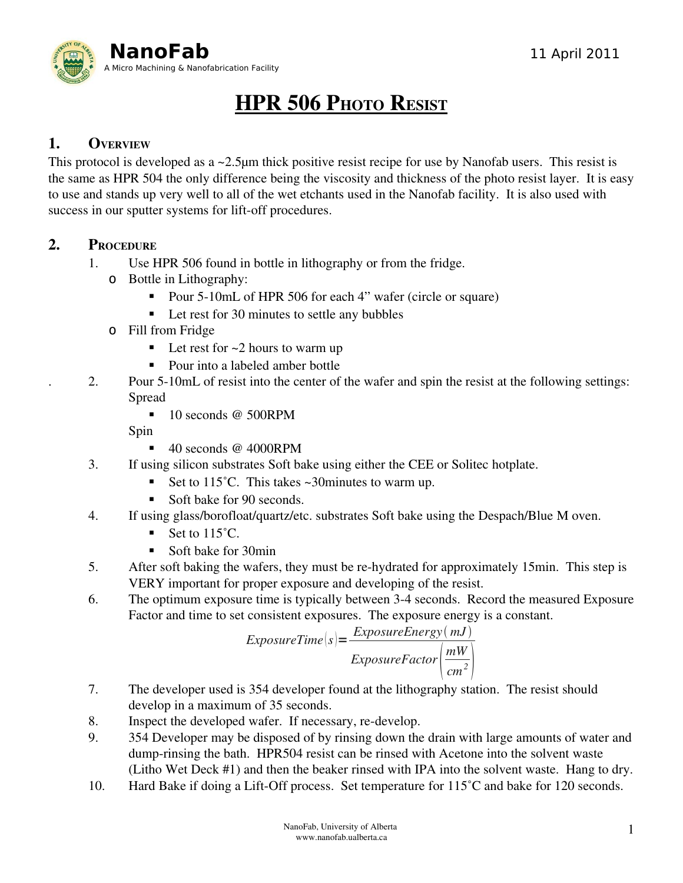

# HPR 506 PHOTO RESIST

### 1. OVERVIEW

This protocol is developed as a ~2.5μm thick positive resist recipe for use by Nanofab users. This resist is the same as HPR 504 the only difference being the viscosity and thickness of the photo resist layer. It is easy to use and stands up very well to all of the wet etchants used in the Nanofab facility. It is also used with success in our sputter systems for lift-off procedures.

#### 2. PROCEDURE

- 1. Use HPR 506 found in bottle in lithography or from the fridge.
	- o Bottle in Lithography:
		- Pour 5-10mL of HPR 506 for each 4" wafer (circle or square)
		- Let rest for 30 minutes to settle any bubbles
	- o Fill from Fridge
		- $\blacksquare$  Let rest for  $\sim$ 2 hours to warm up
		- Pour into a labeled amber bottle
- . 2. Pour 510mL of resist into the center of the wafer and spin the resist at the following settings: Spread
	- 10 seconds @ 500RPM

Spin

- $\blacksquare$  40 seconds @ 4000RPM
- 3. If using silicon substrates Soft bake using either the CEE or Solitec hotplate.
	- Set to  $115^{\circ}$ C. This takes ~30 minutes to warm up.
	- Soft bake for 90 seconds.
- 4. If using glass/borofloat/quartz/etc. substrates Soft bake using the Despach/Blue M oven.
	- Set to 115<sup>°</sup>C.
	- Soft bake for 30min
- 5. After soft baking the wafers, they must be re-hydrated for approximately 15min. This step is VERY important for proper exposure and developing of the resist.
- 6. The optimum exposure time is typically between 34 seconds. Record the measured Exposure Factor and time to set consistent exposures. The exposure energy is a constant.

$$
ExposureTime(s) = \frac{ExposureEnergy(mJ)}{ExposureFactor\left(\frac{mW}{cm^2}\right)}
$$

- 7. The developer used is 354 developer found at the lithography station. The resist should develop in a maximum of 35 seconds.
- 8. Inspect the developed wafer. If necessary, re-develop.
- 9. 354 Developer may be disposed of by rinsing down the drain with large amounts of water and dump-rinsing the bath. HPR504 resist can be rinsed with Acetone into the solvent waste (Litho Wet Deck #1) and then the beaker rinsed with IPA into the solvent waste. Hang to dry.
- 10. Hard Bake if doing a Lift-Off process. Set temperature for 115°C and bake for 120 seconds.